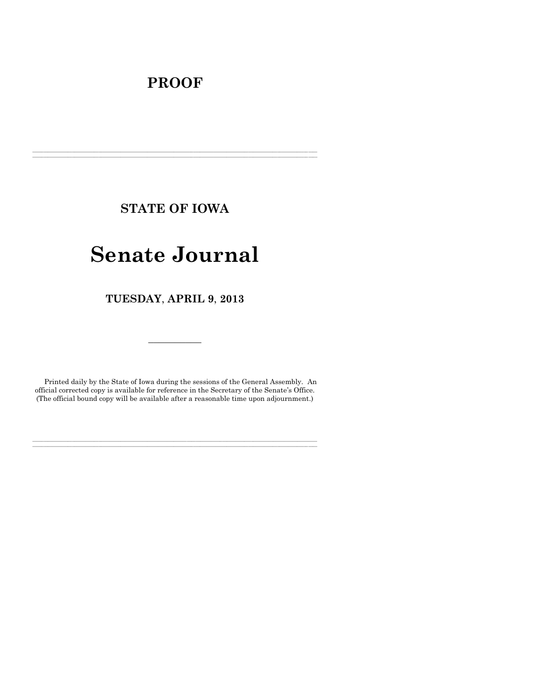# **PROOF**

**STATE OF IOWA**

**\_\_\_\_\_\_\_\_\_\_\_\_\_\_\_\_\_\_\_\_\_\_\_\_\_\_\_\_\_\_\_\_\_\_\_\_\_\_\_\_\_\_\_\_\_\_\_\_\_\_\_\_\_\_\_\_\_\_\_\_\_\_\_\_\_\_\_\_\_\_\_\_\_\_\_\_\_\_\_\_\_\_\_\_\_\_\_\_\_\_\_\_\_\_\_\_\_\_\_\_\_\_\_\_\_\_\_\_\_\_\_\_\_\_\_\_\_\_\_\_\_\_\_\_\_\_\_\_\_ \_\_\_\_\_\_\_\_\_\_\_\_\_\_\_\_\_\_\_\_\_\_\_\_\_\_\_\_\_\_\_\_\_\_\_\_\_\_\_\_\_\_\_\_\_\_\_\_\_\_\_\_\_\_\_\_\_\_\_\_\_\_\_\_\_\_\_\_\_\_\_\_\_\_\_\_\_\_\_\_\_\_\_\_\_\_\_\_\_\_\_\_\_\_\_\_\_\_\_\_\_\_\_\_\_\_\_\_\_\_\_\_\_\_\_\_\_\_\_\_\_\_\_\_\_\_\_\_\_**

# **Senate Journal**

**TUESDAY**, **APRIL 9**, **2013**

Printed daily by the State of Iowa during the sessions of the General Assembly. An official corrected copy is available for reference in the Secretary of the Senate's Office. (The official bound copy will be available after a reasonable time upon adjournment.)

**\_\_\_\_\_\_\_\_\_\_\_\_\_\_\_\_\_\_\_\_\_\_\_\_\_\_\_\_\_\_\_\_\_\_\_\_\_\_\_\_\_\_\_\_\_\_\_\_\_\_\_\_\_\_\_\_\_\_\_\_\_\_\_\_\_\_\_\_\_\_\_\_\_\_\_\_\_\_\_\_\_\_\_\_\_\_\_\_\_\_\_\_\_\_\_\_\_\_\_\_\_\_\_\_\_\_\_\_\_\_\_\_\_\_\_\_\_\_\_\_\_\_\_\_\_\_\_\_\_ \_\_\_\_\_\_\_\_\_\_\_\_\_\_\_\_\_\_\_\_\_\_\_\_\_\_\_\_\_\_\_\_\_\_\_\_\_\_\_\_\_\_\_\_\_\_\_\_\_\_\_\_\_\_\_\_\_\_\_\_\_\_\_\_\_\_\_\_\_\_\_\_\_\_\_\_\_\_\_\_\_\_\_\_\_\_\_\_\_\_\_\_\_\_\_\_\_\_\_\_\_\_\_\_\_\_\_\_\_\_\_\_\_\_\_\_\_\_\_\_\_\_\_\_\_\_\_\_\_**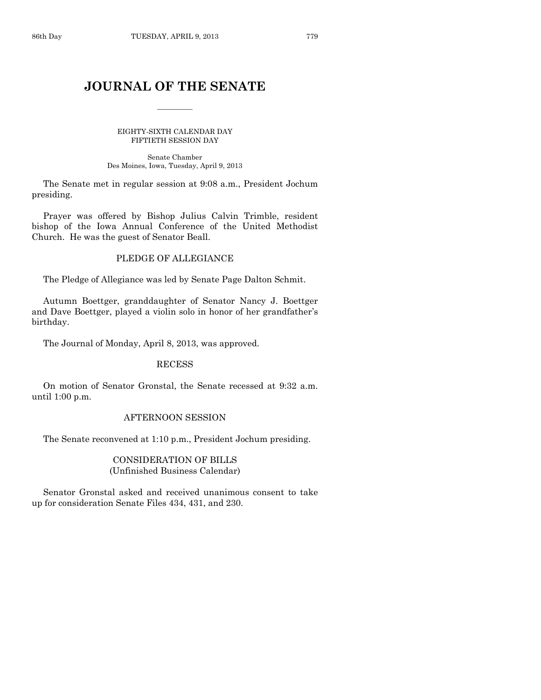# **JOURNAL OF THE SENATE**

 $\overline{\phantom{a}}$ 

EIGHTY-SIXTH CALENDAR DAY FIFTIETH SESSION DAY

Senate Chamber Des Moines, Iowa, Tuesday, April 9, 2013

The Senate met in regular session at 9:08 a.m., President Jochum presiding.

Prayer was offered by Bishop Julius Calvin Trimble, resident bishop of the Iowa Annual Conference of the United Methodist Church. He was the guest of Senator Beall.

# PLEDGE OF ALLEGIANCE

The Pledge of Allegiance was led by Senate Page Dalton Schmit.

Autumn Boettger, granddaughter of Senator Nancy J. Boettger and Dave Boettger, played a violin solo in honor of her grandfather's birthday.

The Journal of Monday, April 8, 2013, was approved.

#### RECESS

On motion of Senator Gronstal, the Senate recessed at 9:32 a.m. until 1:00 p.m.

#### AFTERNOON SESSION

The Senate reconvened at 1:10 p.m., President Jochum presiding.

#### CONSIDERATION OF BILLS (Unfinished Business Calendar)

Senator Gronstal asked and received unanimous consent to take up for consideration Senate Files 434, 431, and 230.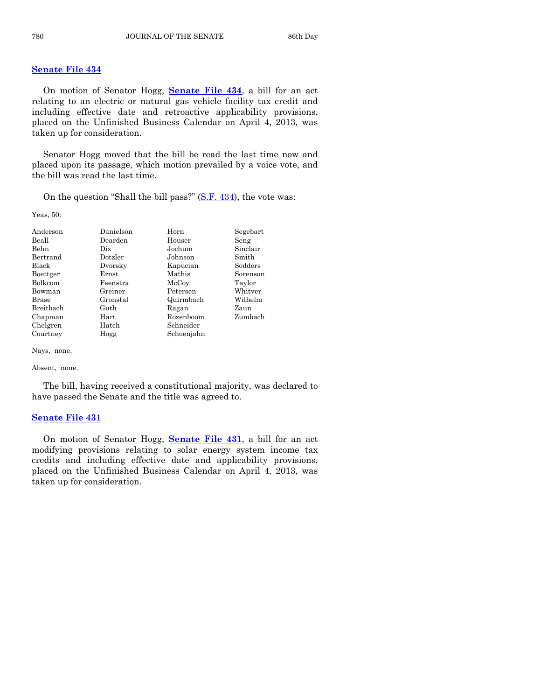#### **[Senate File 434](http://coolice.legis.state.ia.us/Cool-ICE/default.asp?Category=billinfo&Service=Billbook&frame=1&GA=85&hbill=SF434)**

On motion of Senator Hogg, **[Senate File 434](http://coolice.legis.state.ia.us/Cool-ICE/default.asp?Category=billinfo&Service=Billbook&frame=1&GA=85&hbill=SF434)**, a bill for an act relating to an electric or natural gas vehicle facility tax credit and including effective date and retroactive applicability provisions, placed on the Unfinished Business Calendar on April 4, 2013, was taken up for consideration.

Senator Hogg moved that the bill be read the last time now and placed upon its passage, which motion prevailed by a voice vote, and the bill was read the last time.

On the question "Shall the bill pass?" [\(S.F. 434\)](http://coolice.legis.state.ia.us/Cool-ICE/default.asp?Category=billinfo&Service=Billbook&frame=1&GA=85&hbill=SF434), the vote was:

Yeas, 50:

| Anderson       | Danielson | Horn       | Segebart |
|----------------|-----------|------------|----------|
| Beall          | Dearden   | Houser     | Seng     |
| Behn           | Dix       | Jochum     | Sinclair |
| Bertrand       | Dotzler   | Johnson    | Smith    |
| <b>Black</b>   | Dvorsky   | Kapucian   | Sodders  |
| Boettger       | Ernst     | Mathis     | Sorenson |
| <b>Bolkcom</b> | Feenstra  | McCoy      | Taylor   |
| Bowman         | Greiner   | Petersen   | Whitver  |
| <b>Brase</b>   | Gronstal  | Quirmbach  | Wilhelm  |
| Breitbach      | Guth      | Ragan      | Zaun     |
| Chapman        | Hart      | Rozenboom  | Zumbach  |
| Chelgren       | Hatch     | Schneider  |          |
| Courtney       | Hogg      | Schoenjahn |          |

Nays, none.

Absent, none.

The bill, having received a constitutional majority, was declared to have passed the Senate and the title was agreed to.

#### **[Senate File 431](http://coolice.legis.state.ia.us/Cool-ICE/default.asp?Category=billinfo&Service=Billbook&frame=1&GA=85&hbill=SF431)**

On motion of Senator Hogg, **[Senate File 431](http://coolice.legis.state.ia.us/Cool-ICE/default.asp?Category=billinfo&Service=Billbook&frame=1&GA=85&hbill=SF431)**, a bill for an act modifying provisions relating to solar energy system income tax credits and including effective date and applicability provisions, placed on the Unfinished Business Calendar on April 4, 2013, was taken up for consideration.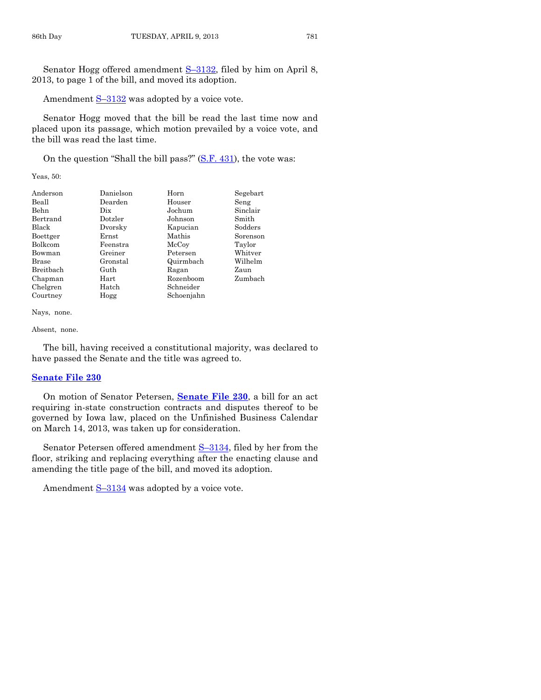Senator Hogg offered amendment S–[3132,](http://coolice.legis.state.ia.us/Cool-ICE/default.asp?Category=billinfo&Service=Billbook&frame=1&GA=85&hbill=S3132) filed by him on April 8, 2013, to page 1 of the bill, and moved its adoption.

Amendment  $S-3132$  $S-3132$  was adopted by a voice vote.

Senator Hogg moved that the bill be read the last time now and placed upon its passage, which motion prevailed by a voice vote, and the bill was read the last time.

On the question "Shall the bill pass?" [\(S.F. 431\)](http://coolice.legis.state.ia.us/Cool-ICE/default.asp?Category=billinfo&Service=Billbook&frame=1&GA=85&hbill=SF431), the vote was:

Yeas, 50:

| Anderson     | Danielson  | Horn       | Segebart |
|--------------|------------|------------|----------|
| Beall        | Dearden    | Houser     | Seng     |
| Behn         | Dix        | Jochum     | Sinclair |
| Bertrand     | Dotzler    | Johnson    | Smith    |
| Black        | Dvorsky    | Kapucian   | Sodders  |
| Boettger     | Ernst      | Mathis     | Sorenson |
| Bolkcom      | Feenstra   | McCoy      | Taylor   |
| Bowman       | Greiner    | Petersen   | Whitver  |
| <b>Brase</b> | Gronstal   | Quirmbach  | Wilhelm  |
| Breitbach    | Guth       | Ragan      | Zaun     |
| Chapman      | $\rm Hart$ | Rozenboom  | Zumbach  |
| Chelgren     | Hatch      | Schneider  |          |
| Courtney     | Hogg       | Schoenjahn |          |

Nays, none.

Absent, none.

The bill, having received a constitutional majority, was declared to have passed the Senate and the title was agreed to.

#### **[Senate File 230](http://coolice.legis.state.ia.us/Cool-ICE/default.asp?Category=billinfo&Service=Billbook&frame=1&GA=85&hbill=SF230)**

On motion of Senator Petersen, **[Senate File 230](http://coolice.legis.state.ia.us/Cool-ICE/default.asp?Category=billinfo&Service=Billbook&frame=1&GA=85&hbill=SF230)**, a bill for an act requiring in-state construction contracts and disputes thereof to be governed by Iowa law, placed on the Unfinished Business Calendar on March 14, 2013, was taken up for consideration.

Senator Petersen offered amendment S–[3134,](http://coolice.legis.state.ia.us/Cool-ICE/default.asp?Category=billinfo&Service=Billbook&frame=1&GA=85&hbill=S3134) filed by her from the floor, striking and replacing everything after the enacting clause and amending the title page of the bill, and moved its adoption.

Amendment  $S-3134$  $S-3134$  was adopted by a voice vote.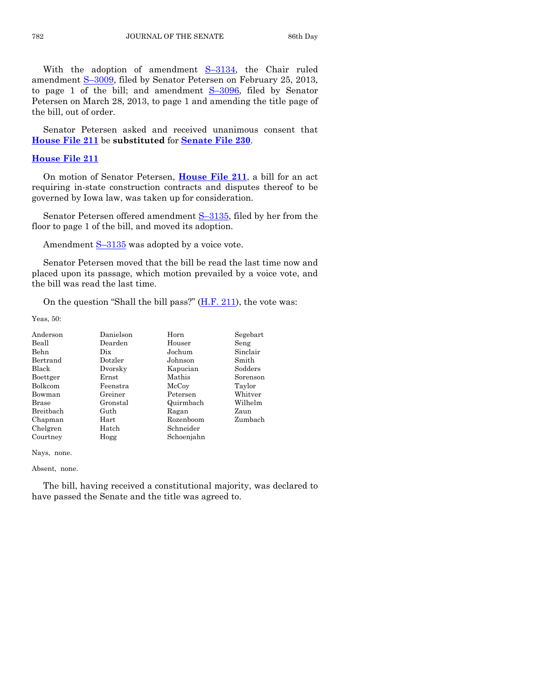With the adoption of amendment S–[3134,](http://coolice.legis.state.ia.us/Cool-ICE/default.asp?Category=billinfo&Service=Billbook&frame=1&GA=85&hbill=S3134) the Chair ruled amendment S–[3009,](http://coolice.legis.state.ia.us/Cool-ICE/default.asp?Category=billinfo&Service=Billbook&frame=1&GA=85&hbill=S3009) filed by Senator Petersen on February 25, 2013, to page 1 of the bill; and amendment S–[3096,](http://coolice.legis.state.ia.us/Cool-ICE/default.asp?Category=billinfo&Service=Billbook&frame=1&GA=85&hbill=S3096) filed by Senator Petersen on March 28, 2013, to page 1 and amending the title page of the bill, out of order.

Senator Petersen asked and received unanimous consent that **[House File 211](http://coolice.legis.state.ia.us/Cool-ICE/default.asp?Category=billinfo&Service=Billbook&frame=1&GA=85&hbill=HF211)** be **substituted** for **[Senate File 230](http://coolice.legis.state.ia.us/Cool-ICE/default.asp?Category=billinfo&Service=Billbook&frame=1&GA=85&hbill=SF230)**.

#### **House [File 211](http://coolice.legis.state.ia.us/Cool-ICE/default.asp?Category=billinfo&Service=Billbook&frame=1&GA=85&hbill=HF211)**

On motion of Senator Petersen, **[House File 211](http://coolice.legis.state.ia.us/Cool-ICE/default.asp?Category=billinfo&Service=Billbook&frame=1&GA=85&hbill=HF211)**, a bill for an act requiring in-state construction contracts and disputes thereof to be governed by Iowa law, was taken up for consideration.

Senator Petersen offered amendment S–[3135,](http://coolice.legis.state.ia.us/Cool-ICE/default.asp?Category=billinfo&Service=Billbook&frame=1&GA=85&hbill=S3135) filed by her from the floor to page 1 of the bill, and moved its adoption.

Amendment  $S-3135$  $S-3135$  was adopted by a voice vote.

Senator Petersen moved that the bill be read the last time now and placed upon its passage, which motion prevailed by a voice vote, and the bill was read the last time.

On the question "Shall the bill pass?" [\(H.F. 211\)](http://coolice.legis.state.ia.us/Cool-ICE/default.asp?Category=billinfo&Service=Billbook&frame=1&GA=85&hbill=HF211), the vote was:

Yeas, 50:

| Anderson       | Danielson   | Horn       | Segebart |
|----------------|-------------|------------|----------|
| Beall          | Dearden     | Houser     | Seng     |
| Behn           | Dix         | Jochum     | Sinclair |
| Bertrand       | Dotzler     | Johnson    | Smith    |
| Black          | Dvorsky     | Kapucian   | Sodders  |
| Boettger       | $\rm Ernst$ | Mathis     | Sorenson |
| <b>Bolkcom</b> | Feenstra    | McCoy      | Taylor   |
| Bowman         | Greiner     | Petersen   | Whitver  |
| <b>Brase</b>   | Gronstal    | Quirmbach  | Wilhelm  |
| Breitbach      | Guth        | Ragan      | Zaun     |
| Chapman        | $\rm Hart$  | Rozenboom  | Zumbach  |
| Chelgren       | Hatch       | Schneider  |          |
| Courtney       | Hogg        | Schoenjahn |          |

Nays, none.

Absent, none.

The bill, having received a constitutional majority, was declared to have passed the Senate and the title was agreed to.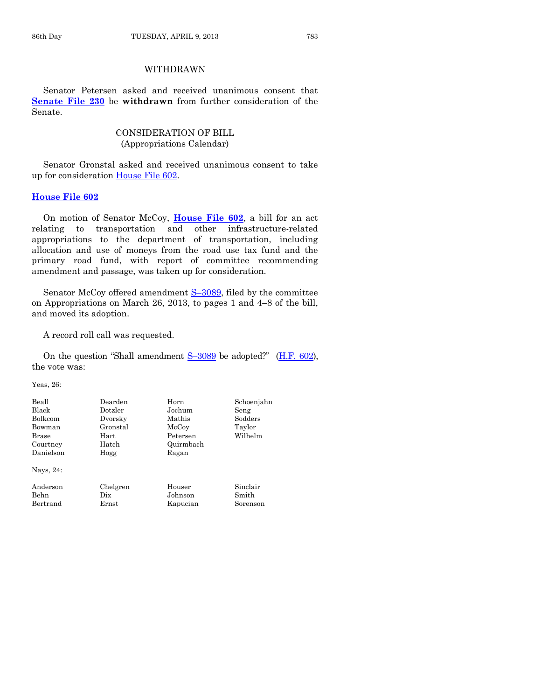# WITHDRAWN

Senator Petersen asked and received unanimous consent that **[Senate File 230](http://coolice.legis.state.ia.us/Cool-ICE/default.asp?Category=billinfo&Service=Billbook&frame=1&GA=85&hbill=SF230)** be **withdrawn** from further consideration of the Senate.

# CONSIDERATION OF BILL (Appropriations Calendar)

Senator Gronstal asked and received unanimous consent to take up for consideration [House File 602.](http://coolice.legis.state.ia.us/Cool-ICE/default.asp?Category=billinfo&Service=Billbook&frame=1&GA=85&hbill=HF602)

#### **[House File 602](http://coolice.legis.state.ia.us/Cool-ICE/default.asp?Category=billinfo&Service=Billbook&frame=1&GA=85&hbill=HF602)**

On motion of Senator McCoy, **[House File 602](http://coolice.legis.state.ia.us/Cool-ICE/default.asp?Category=billinfo&Service=Billbook&frame=1&GA=85&hbill=HF602)**, a bill for an act relating to transportation and other infrastructure-related appropriations to the department of transportation, including allocation and use of moneys from the road use tax fund and the primary road fund, with report of committee recommending amendment and passage, was taken up for consideration.

Senator McCoy offered amendment S-[3089,](http://coolice.legis.state.ia.us/Cool-ICE/default.asp?Category=billinfo&Service=Billbook&frame=1&GA=85&hbill=S3089) filed by the committee on Appropriations on March 26, 2013, to pages 1 and 4–8 of the bill, and moved its adoption.

A record roll call was requested.

On the question "Shall amendment S–[3089](http://coolice.legis.state.ia.us/Cool-ICE/default.asp?Category=billinfo&Service=Billbook&frame=1&GA=85&hbill=S3089) be adopted?" [\(H.F. 602\)](http://coolice.legis.state.ia.us/Cool-ICE/default.asp?Category=billinfo&Service=Billbook&frame=1&GA=85&hbill=HF602), the vote was:

Yeas, 26:

| Beall     | Dearden  | Horn      | Schoenjahn |
|-----------|----------|-----------|------------|
| Black     | Dotzler  | Jochum    | Seng       |
| Bolkcom   | Dvorsky  | Mathis    | Sodders    |
| Bowman    | Gronstal | McCoy     | Taylor     |
| Brase     | Hart     | Petersen  | Wilhelm    |
| Courtney  | Hatch    | Quirmbach |            |
| Danielson | Hogg     | Ragan     |            |
| Nays, 24: |          |           |            |
| Anderson  | Chelgren | Houser    | Sinclair   |
| Behn      | Dix      | Johnson   | Smith      |
| Bertrand  | Ernst    | Kapucian  | Sorenson   |
|           |          |           |            |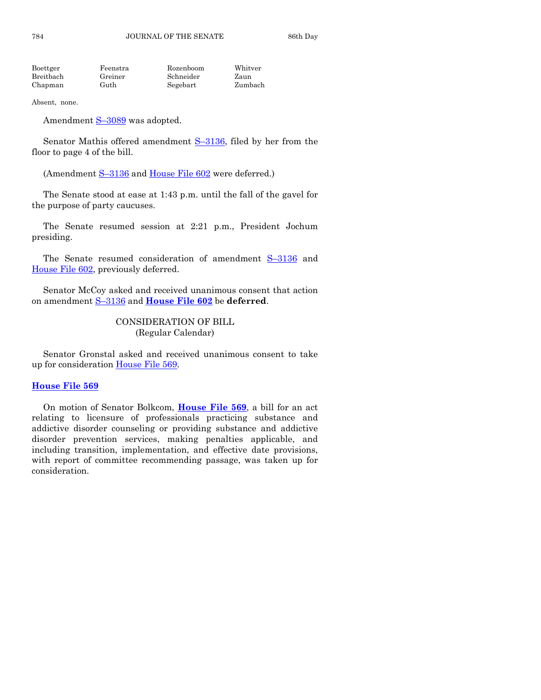| Boettger  | Feenstra | Rozenboom | Whitver |
|-----------|----------|-----------|---------|
| Breitbach | Greiner  | Schneider | Zaun    |
| Chapman   | Guth     | Segebart  | Zumbach |

Absent, none.

Amendment S-[3089](http://coolice.legis.state.ia.us/Cool-ICE/default.asp?Category=billinfo&Service=Billbook&frame=1&GA=85&hbill=S3089) was adopted.

Senator Mathis offered amendment S-[3136,](http://coolice.legis.state.ia.us/Cool-ICE/default.asp?Category=billinfo&Service=Billbook&frame=1&GA=85&hbill=S3136) filed by her from the floor to page 4 of the bill.

(Amendment S-[3136](http://coolice.legis.state.ia.us/Cool-ICE/default.asp?Category=billinfo&Service=Billbook&frame=1&GA=85&hbill=S3136) and [House File 602](http://coolice.legis.state.ia.us/Cool-ICE/default.asp?Category=billinfo&Service=Billbook&frame=1&GA=85&hbill=HF602) were deferred.)

The Senate stood at ease at 1:43 p.m. until the fall of the gavel for the purpose of party caucuses.

The Senate resumed session at 2:21 p.m., President Jochum presiding.

The Senate resumed consideration of amendment S–[3136](http://coolice.legis.state.ia.us/Cool-ICE/default.asp?Category=billinfo&Service=Billbook&frame=1&GA=85&hbill=S3136) and [House File 602,](http://coolice.legis.state.ia.us/Cool-ICE/default.asp?Category=billinfo&Service=Billbook&frame=1&GA=85&hbill=HF602) previously deferred.

Senator McCoy asked and received unanimous consent that action on amendment S–[3136](http://coolice.legis.state.ia.us/Cool-ICE/default.asp?Category=billinfo&Service=Billbook&frame=1&GA=85&hbill=S3136) and **[House File 602](http://coolice.legis.state.ia.us/Cool-ICE/default.asp?Category=billinfo&Service=Billbook&frame=1&GA=85&hbill=HF602)** be **deferred**.

# CONSIDERATION OF BILL (Regular Calendar)

Senator Gronstal asked and received unanimous consent to take up for consideration [House File 569.](http://coolice.legis.state.ia.us/Cool-ICE/default.asp?Category=billinfo&Service=Billbook&frame=1&GA=85&hbill=HF569)

#### **[House File 569](http://coolice.legis.state.ia.us/Cool-ICE/default.asp?Category=billinfo&Service=Billbook&frame=1&GA=85&hbill=HF569)**

On motion of Senator Bolkcom, **[House File 569](http://coolice.legis.state.ia.us/Cool-ICE/default.asp?Category=billinfo&Service=Billbook&frame=1&GA=85&hbill=HF569)**, a bill for an act relating to licensure of professionals practicing substance and addictive disorder counseling or providing substance and addictive disorder prevention services, making penalties applicable, and including transition, implementation, and effective date provisions, with report of committee recommending passage, was taken up for consideration.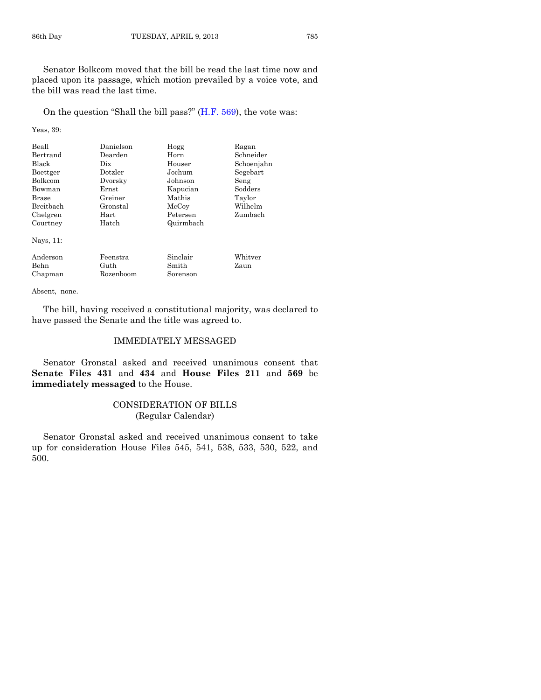Senator Bolkcom moved that the bill be read the last time now and placed upon its passage, which motion prevailed by a voice vote, and the bill was read the last time.

On the question "Shall the bill pass?" [\(H.F. 569\)](http://coolice.legis.state.ia.us/Cool-ICE/default.asp?Category=billinfo&Service=Billbook&frame=1&GA=85&hbill=HF569), the vote was:

Yeas, 39:

| Beall<br>Bertrand<br><b>Black</b><br>Boettger<br><b>Bolkcom</b><br>Bowman<br>Brase<br><b>Breithach</b><br>Chelgren<br>Courtney<br>Nays, 11: | Danielson<br>Dearden<br>Dix<br>Dotzler<br>Dvorsky<br>Ernst<br>Greiner<br>Gronstal<br>Hart<br>Hatch | Hogg<br>Horn<br>Houser<br>Jochum<br>Johnson<br>Kapucian<br>Mathis<br>McCoy<br>Petersen<br>Quirmbach | Ragan<br>Schneider<br>Schoenjahn<br>Segebart<br>Seng<br>Sodders<br>Taylor<br>Wilhelm<br>Zumbach |
|---------------------------------------------------------------------------------------------------------------------------------------------|----------------------------------------------------------------------------------------------------|-----------------------------------------------------------------------------------------------------|-------------------------------------------------------------------------------------------------|
| Anderson<br><b>Behn</b><br>Chapman                                                                                                          | Feenstra<br>Guth<br>Rozenboom                                                                      | Sinclair<br>Smith<br>Sorenson                                                                       | Whitver<br>Zaun                                                                                 |

Absent, none.

The bill, having received a constitutional majority, was declared to have passed the Senate and the title was agreed to.

# IMMEDIATELY MESSAGED

Senator Gronstal asked and received unanimous consent that **Senate Files 431** and **434** and **House Files 211** and **569** be **immediately messaged** to the House.

# CONSIDERATION OF BILLS (Regular Calendar)

Senator Gronstal asked and received unanimous consent to take up for consideration House Files 545, 541, 538, 533, 530, 522, and 500.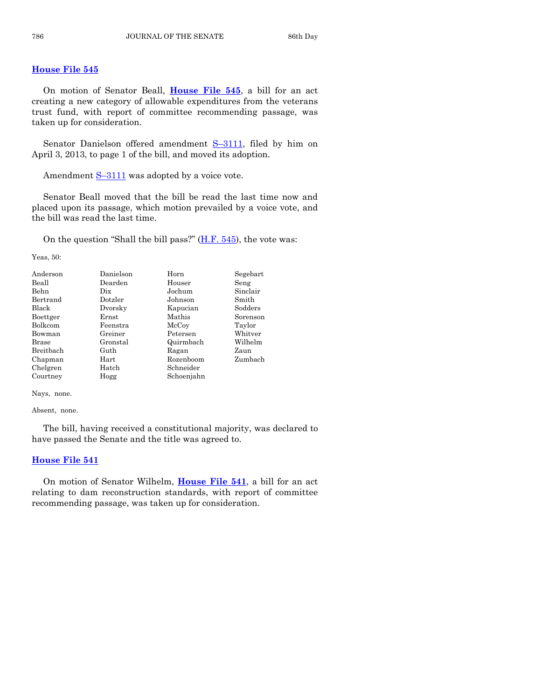#### **[House File 545](http://coolice.legis.state.ia.us/Cool-ICE/default.asp?Category=billinfo&Service=Billbook&frame=1&GA=85&hbill=HF545)**

On motion of Senator Beall, **[House File 545](http://coolice.legis.state.ia.us/Cool-ICE/default.asp?Category=billinfo&Service=Billbook&frame=1&GA=85&hbill=HF545)**, a bill for an act creating a new category of allowable expenditures from the veterans trust fund, with report of committee recommending passage, was taken up for consideration.

Senator Danielson offered amendment S–[3111,](http://coolice.legis.state.ia.us/Cool-ICE/default.asp?Category=billinfo&Service=Billbook&frame=1&GA=85&hbill=S3111) filed by him on April 3, 2013, to page 1 of the bill, and moved its adoption.

Amendment  $S-3111$  $S-3111$  was adopted by a voice vote.

Senator Beall moved that the bill be read the last time now and placed upon its passage, which motion prevailed by a voice vote, and the bill was read the last time.

On the question "Shall the bill pass?" [\(H.F. 545\)](http://coolice.legis.state.ia.us/Cool-ICE/default.asp?Category=billinfo&Service=Billbook&frame=1&GA=85&hbill=HF545), the vote was:

Yeas, 50:

| Anderson         | Danielson | Horn       | Segebart |
|------------------|-----------|------------|----------|
| Beall            | Dearden   | Houser     | Seng     |
| Behn             | Dix       | Jochum     | Sinclair |
| Bertrand         | Dotzler   | Johnson    | Smith    |
| <b>Black</b>     | Dvorsky   | Kapucian   | Sodders  |
| Boettger         | Ernst     | Mathis     | Sorenson |
| Bolkcom          | Feenstra  | McCoy      | Taylor   |
| Bowman           | Greiner   | Petersen   | Whitver  |
| <b>Brase</b>     | Gronstal  | Quirmbach  | Wilhelm  |
| <b>Breithach</b> | Guth      | Ragan      | Zaun     |
| Chapman          | Hart      | Rozenboom  | Zumbach  |
| Chelgren         | Hatch     | Schneider  |          |
| Courtney         | Hogg      | Schoenjahn |          |

Nays, none.

Absent, none.

The bill, having received a constitutional majority, was declared to have passed the Senate and the title was agreed to.

#### **[House File 541](http://coolice.legis.state.ia.us/Cool-ICE/default.asp?Category=billinfo&Service=Billbook&frame=1&GA=85&hbill=HF541)**

On motion of Senator Wilhelm, **[House File 541](http://coolice.legis.state.ia.us/Cool-ICE/default.asp?Category=billinfo&Service=Billbook&frame=1&GA=85&hbill=HF541)**, a bill for an act relating to dam reconstruction standards, with report of committee recommending passage, was taken up for consideration.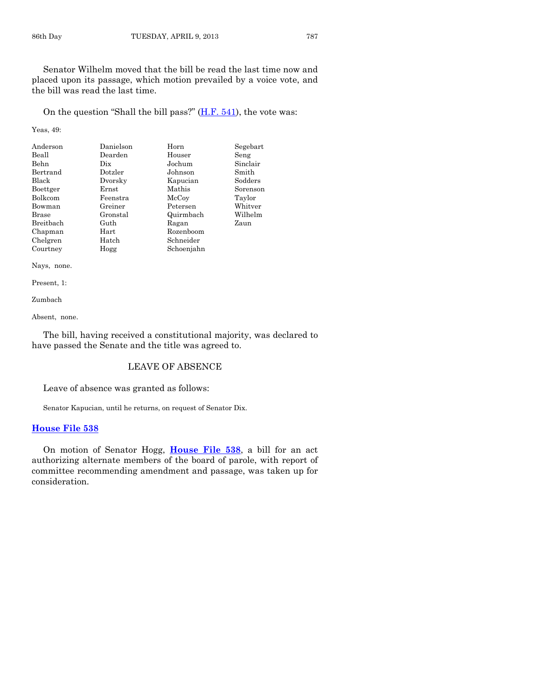Senator Wilhelm moved that the bill be read the last time now and placed upon its passage, which motion prevailed by a voice vote, and the bill was read the last time.

On the question "Shall the bill pass?"  $(H.F. 541)$ , the vote was:

Yeas, 49:

| Anderson     | Danielson | Horn       | Segebart |
|--------------|-----------|------------|----------|
| Beall        | Dearden   | Houser     | Seng     |
| <b>Behn</b>  | Dix       | Jochum     | Sinclair |
| Bertrand     | Dotzler   | Johnson    | Smith    |
| <b>Black</b> | Dvorsky   | Kapucian   | Sodders  |
| Boettger     | Ernst     | Mathis     | Sorenson |
| Bolkcom      | Feenstra  | McCoy      | Taylor   |
| Bowman       | Greiner   | Petersen   | Whitver  |
| <b>Brase</b> | Gronstal  | Quirmbach  | Wilhelm  |
| Breitbach    | Guth      | Ragan      | Zaun     |
| Chapman      | Hart      | Rozenboom  |          |
| Chelgren     | Hatch     | Schneider  |          |
| Courtney     | Hogg      | Schoenjahn |          |

Nays, none.

Present, 1:

Zumbach

Absent, none.

The bill, having received a constitutional majority, was declared to have passed the Senate and the title was agreed to.

#### LEAVE OF ABSENCE

Leave of absence was granted as follows:

Senator Kapucian, until he returns, on request of Senator Dix.

#### **[House File 538](http://coolice.legis.state.ia.us/Cool-ICE/default.asp?Category=billinfo&Service=Billbook&frame=1&GA=85&hbill=HF538)**

On motion of Senator Hogg, **[House File 538](http://coolice.legis.state.ia.us/Cool-ICE/default.asp?Category=billinfo&Service=Billbook&frame=1&GA=85&hbill=HF538)**, a bill for an act authorizing alternate members of the board of parole, with report of committee recommending amendment and passage, was taken up for consideration.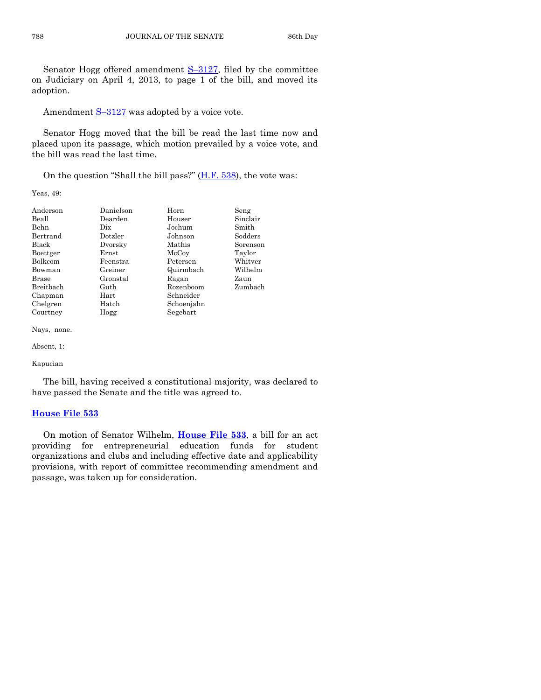Senator Hogg offered amendment S–[3127,](http://coolice.legis.state.ia.us/Cool-ICE/default.asp?Category=billinfo&Service=Billbook&frame=1&GA=85&hbill=S3127) filed by the committee on Judiciary on April 4, 2013, to page 1 of the bill, and moved its adoption.

Amendment  $S-3127$  $S-3127$  was adopted by a voice vote.

Senator Hogg moved that the bill be read the last time now and placed upon its passage, which motion prevailed by a voice vote, and the bill was read the last time.

On the question "Shall the bill pass?" [\(H.F. 538\)](http://coolice.legis.state.ia.us/Cool-ICE/default.asp?Category=billinfo&Service=Billbook&frame=1&GA=85&hbill=HF538), the vote was:

Yeas, 49:

| Anderson     | Danielson | Horn       | Seng     |
|--------------|-----------|------------|----------|
| Beall        | Dearden   | Houser     | Sinclair |
| Behn         | Dix       | Jochum     | Smith    |
| Bertrand     | Dotzler   | Johnson    | Sodders  |
| Black        | Dvorsky   | Mathis     | Sorenson |
| Boettger     | Ernst     | McCoy      | Taylor   |
| Bolkcom      | Feenstra  | Petersen   | Whitver  |
| Bowman       | Greiner   | Quirmbach  | Wilhelm  |
| <b>Brase</b> | Gronstal  | Ragan      | Zaun     |
| Breitbach    | Guth      | Rozenboom  | Zumbach  |
| Chapman      | Hart      | Schneider  |          |
| Chelgren     | Hatch     | Schoenjahn |          |
| Courtney     | Hogg      | Segebart   |          |

Nays, none.

Absent, 1:

Kapucian

The bill, having received a constitutional majority, was declared to have passed the Senate and the title was agreed to.

#### **[House File 533](http://coolice.legis.state.ia.us/Cool-ICE/default.asp?Category=billinfo&Service=Billbook&frame=1&GA=85&hbill=HF533)**

On motion of Senator Wilhelm, **[House File 533](http://coolice.legis.state.ia.us/Cool-ICE/default.asp?Category=billinfo&Service=Billbook&frame=1&GA=85&hbill=HF533)**, a bill for an act providing for entrepreneurial education funds for student organizations and clubs and including effective date and applicability provisions, with report of committee recommending amendment and passage, was taken up for consideration.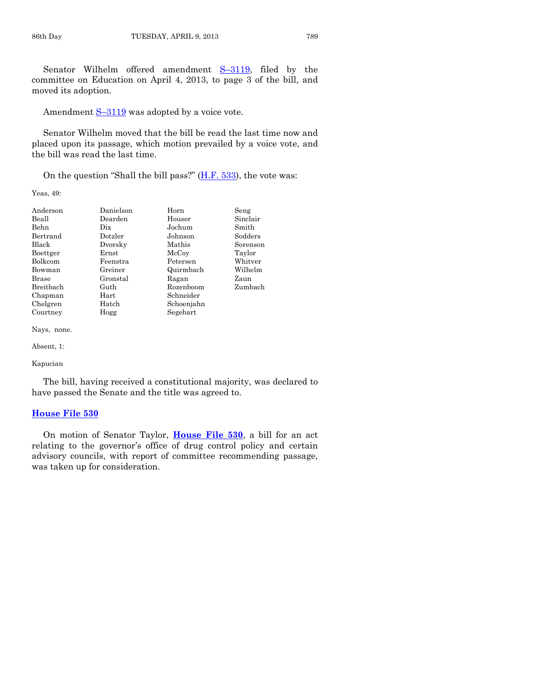Senator Wilhelm offered amendment S–[3119,](http://coolice.legis.state.ia.us/Cool-ICE/default.asp?Category=billinfo&Service=Billbook&frame=1&GA=85&hbill=S3119) filed by the committee on Education on April 4, 2013, to page 3 of the bill, and moved its adoption.

Amendment  $S-3119$  $S-3119$  was adopted by a voice vote.

Senator Wilhelm moved that the bill be read the last time now and placed upon its passage, which motion prevailed by a voice vote, and the bill was read the last time.

On the question "Shall the bill pass?" [\(H.F. 533\)](http://coolice.legis.state.ia.us/Cool-ICE/default.asp?Category=billinfo&Service=Billbook&frame=1&GA=85&hbill=HF533), the vote was:

Yeas, 49:

| Anderson     | Danielson | Horn       | Seng     |
|--------------|-----------|------------|----------|
| Beall        | Dearden   | Houser     | Sinclair |
| Behn         | Dix       | Jochum     | Smith    |
| Bertrand     | Dotzler   | Johnson    | Sodders  |
| Black        | Dvorsky   | Mathis     | Sorenson |
| Boettger     | Ernst     | McCoy      | Taylor   |
| Bolkcom      | Feenstra  | Petersen   | Whitver  |
| Bowman       | Greiner   | Quirmbach  | Wilhelm  |
| <b>Brase</b> | Gronstal  | Ragan      | Zaun     |
| Breitbach    | Guth      | Rozenboom  | Zumbach  |
| Chapman      | Hart      | Schneider  |          |
| Chelgren     | Hatch     | Schoenjahn |          |
| Courtney     | Hogg      | Segebart   |          |

Nays, none.

Absent, 1:

Kapucian

The bill, having received a constitutional majority, was declared to have passed the Senate and the title was agreed to.

#### **[House File 530](http://coolice.legis.state.ia.us/Cool-ICE/default.asp?Category=billinfo&Service=Billbook&frame=1&GA=85&hbill=HF530)**

On motion of Senator Taylor, **[House File 530](http://coolice.legis.state.ia.us/Cool-ICE/default.asp?Category=billinfo&Service=Billbook&frame=1&GA=85&hbill=HF530)**, a bill for an act relating to the governor's office of drug control policy and certain advisory councils, with report of committee recommending passage, was taken up for consideration.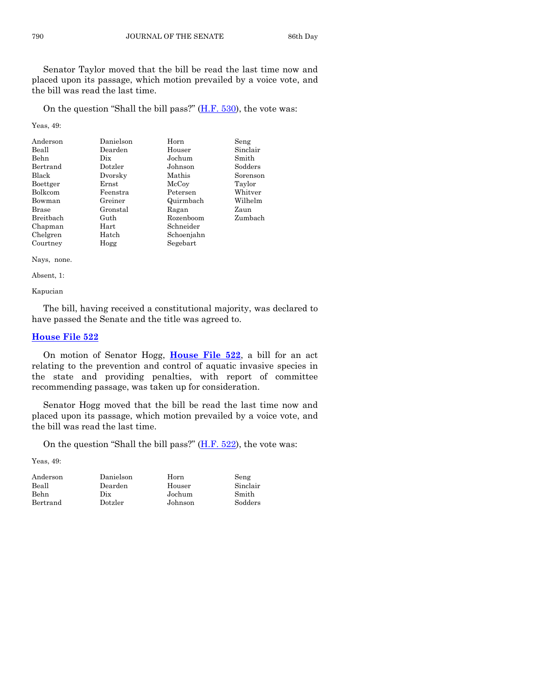Senator Taylor moved that the bill be read the last time now and placed upon its passage, which motion prevailed by a voice vote, and the bill was read the last time.

On the question "Shall the bill pass?"  $(H.F. 530)$ , the vote was:

Yeas, 49:

| Anderson     | Danielson  | Horn       | Seng     |
|--------------|------------|------------|----------|
| Beall        | Dearden    | Houser     | Sinclair |
| Behn         | Dix        | Jochum     | Smith    |
| Bertrand     | Dotzler    | Johnson    | Sodders  |
| <b>Black</b> | Dvorsky    | Mathis     | Sorenson |
| Boettger     | Ernst      | McCoy      | Taylor   |
| Bolkcom      | Feenstra   | Petersen   | Whitver  |
| Bowman       | Greiner    | Quirmbach  | Wilhelm  |
| Brase        | Gronstal   | Ragan      | Zaun     |
| Breitbach    | Guth       | Rozenboom  | Zumbach  |
| Chapman      | $\rm Hart$ | Schneider  |          |
| Chelgren     | Hatch      | Schoenjahn |          |
| Courtney     | Hogg       | Segebart   |          |

Nays, none.

Absent, 1:

Kapucian

The bill, having received a constitutional majority, was declared to have passed the Senate and the title was agreed to.

#### **[House File 522](http://coolice.legis.state.ia.us/Cool-ICE/default.asp?Category=billinfo&Service=Billbook&frame=1&GA=85&hbill=HF522)**

On motion of Senator Hogg, **[House File 522](http://coolice.legis.state.ia.us/Cool-ICE/default.asp?Category=billinfo&Service=Billbook&frame=1&GA=85&hbill=HF522)**, a bill for an act relating to the prevention and control of aquatic invasive species in the state and providing penalties, with report of committee recommending passage, was taken up for consideration.

Senator Hogg moved that the bill be read the last time now and placed upon its passage, which motion prevailed by a voice vote, and the bill was read the last time.

On the question "Shall the bill pass?"  $(H.F. 522)$ , the vote was:

| Anderson | Danielson | Horn    | Seng     |
|----------|-----------|---------|----------|
| Beall    | Dearden   | Houser  | Sinclair |
| Behn     | Dix       | Jochum  | Smith    |
| Bertrand | Dotzler   | Johnson | Sodders  |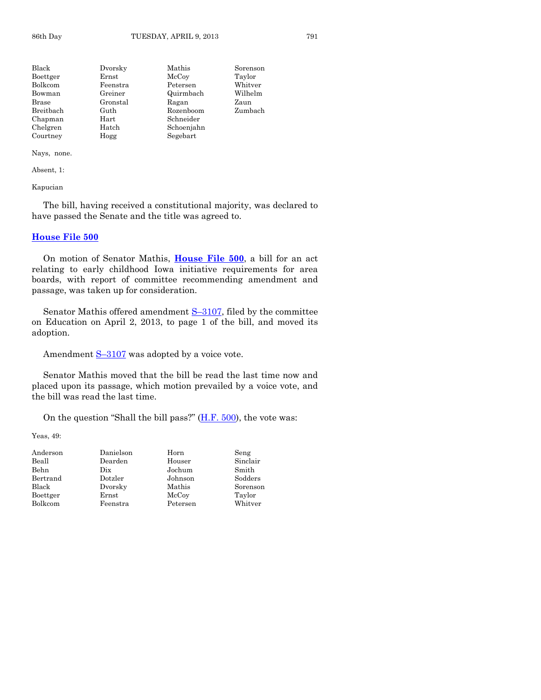| Black          | Dvorsky  | Mathis     | Sorenson |
|----------------|----------|------------|----------|
| Boettger       | Ernst    | McCoy      | Taylor   |
| <b>Bolkcom</b> | Feenstra | Petersen   | Whitver  |
| Bowman         | Greiner  | Quirmbach  | Wilhelm  |
| Brase          | Gronstal | Ragan      | Zaun     |
| Breitbach      | Guth     | Rozenboom  | Zumbach  |
| Chapman        | Hart     | Schneider  |          |
| Chelgren       | Hatch    | Schoenjahn |          |
| Courtney       | Hogg     | Segebart   |          |

Nays, none.

Absent, 1:

Kapucian

The bill, having received a constitutional majority, was declared to have passed the Senate and the title was agreed to.

#### **[House File 500](http://coolice.legis.state.ia.us/Cool-ICE/default.asp?Category=billinfo&Service=Billbook&frame=1&GA=85&hbill=HF500)**

On motion of Senator Mathis, **[House File 500](http://coolice.legis.state.ia.us/Cool-ICE/default.asp?Category=billinfo&Service=Billbook&frame=1&GA=85&hbill=HF500)**, a bill for an act relating to early childhood Iowa initiative requirements for area boards, with report of committee recommending amendment and passage, was taken up for consideration.

Senator Mathis offered amendment S–[3107,](http://coolice.legis.state.ia.us/Cool-ICE/default.asp?Category=billinfo&Service=Billbook&frame=1&GA=85&hbill=S3107) filed by the committee on Education on April 2, 2013, to page 1 of the bill, and moved its adoption.

Amendment  $S-3107$  $S-3107$  was adopted by a voice vote.

Senator Mathis moved that the bill be read the last time now and placed upon its passage, which motion prevailed by a voice vote, and the bill was read the last time.

On the question "Shall the bill pass?"  $(H.F. 500)$ , the vote was:

| Anderson | Danielson | Horn     | Seng     |
|----------|-----------|----------|----------|
| Beall    | Dearden   | Houser   | Sinclair |
| Behn     | Dix       | Jochum   | Smith    |
| Bertrand | Dotzler   | Johnson  | Sodders  |
| Black    | Dvorsky   | Mathis   | Sorenson |
| Boettger | Ernst     | McCoy    | Taylor   |
| Bolkcom  | Feenstra  | Petersen | Whitver  |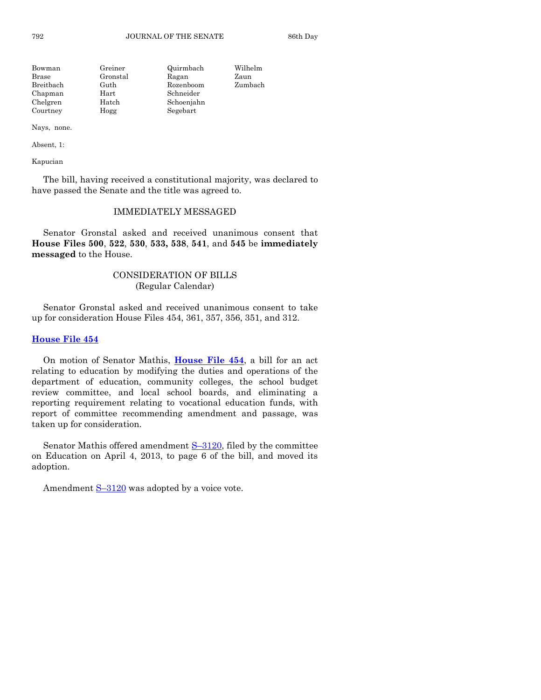| Bowman    | Greiner    | Quirmbach  | Wilhelm |
|-----------|------------|------------|---------|
| Brase     | Gronstal   | Ragan      | Zaun    |
| Breitbach | Guth       | Rozenboom  | Zumbach |
| Chapman   | $\rm Hart$ | Schneider  |         |
| Chelgren  | Hatch      | Schoenjahn |         |
| Courtney  | Hogg       | Segebart   |         |

Nays, none.

Absent, 1:

Kapucian

The bill, having received a constitutional majority, was declared to have passed the Senate and the title was agreed to.

# IMMEDIATELY MESSAGED

Senator Gronstal asked and received unanimous consent that **House Files 500**, **522**, **530**, **533, 538**, **541**, and **545** be **immediately messaged** to the House.

# CONSIDERATION OF BILLS (Regular Calendar)

Senator Gronstal asked and received unanimous consent to take up for consideration House Files 454, 361, 357, 356, 351, and 312.

#### **[House File 454](http://coolice.legis.state.ia.us/Cool-ICE/default.asp?Category=billinfo&Service=Billbook&frame=1&GA=85&hbill=HF454)**

On motion of Senator Mathis, **[House File 454](http://coolice.legis.state.ia.us/Cool-ICE/default.asp?Category=billinfo&Service=Billbook&frame=1&GA=85&hbill=HF454)**, a bill for an act relating to education by modifying the duties and operations of the department of education, community colleges, the school budget review committee, and local school boards, and eliminating a reporting requirement relating to vocational education funds, with report of committee recommending amendment and passage, was taken up for consideration.

Senator Mathis offered amendment S–[3120,](http://coolice.legis.state.ia.us/Cool-ICE/default.asp?Category=billinfo&Service=Billbook&frame=1&GA=85&hbill=S3120) filed by the committee on Education on April 4, 2013, to page 6 of the bill, and moved its adoption.

Amendment  $S-3120$  $S-3120$  was adopted by a voice vote.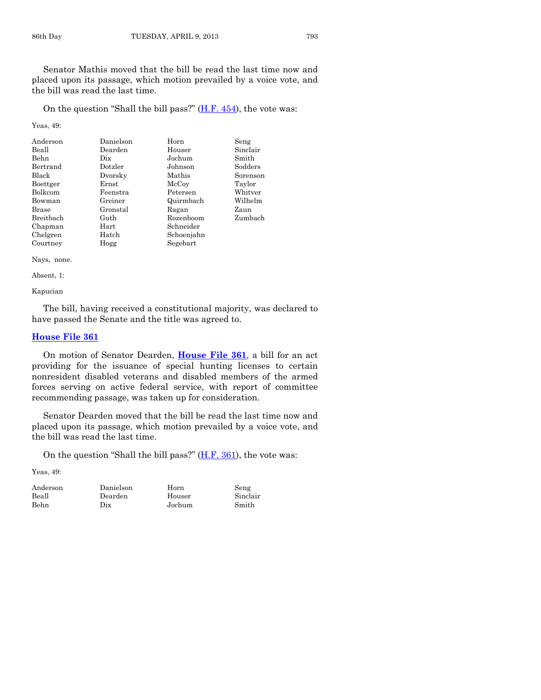Senator Mathis moved that the bill be read the last time now and placed upon its passage, which motion prevailed by a voice vote, and the bill was read the last time.

On the question "Shall the bill pass?"  $(H.F. 454)$  $(H.F. 454)$ , the vote was:

Yeas, 49:

| Anderson  | Danielson | Horn       | Seng     |
|-----------|-----------|------------|----------|
| Beall     | Dearden   | Houser     | Sinclair |
| Behn      | Dix       | Jochum     | Smith    |
| Bertrand  | Dotzler   | Johnson    | Sodders  |
| Black     | Dvorsky   | Mathis     | Sorenson |
| Boettger  | Ernst     | McCoy      | Taylor   |
| Bolkcom   | Feenstra  | Petersen   | Whitver  |
| Bowman    | Greiner   | Quirmbach  | Wilhelm  |
| Brase     | Gronstal  | Ragan      | Zaun     |
| Breitbach | Guth      | Rozenboom  | Zumbach  |
| Chapman   | Hart      | Schneider  |          |
| Chelgren  | Hatch     | Schoenjahn |          |
| Courtney  | Hogg      | Segebart   |          |

Nays, none.

Absent, 1:

Kapucian

The bill, having received a constitutional majority, was declared to have passed the Senate and the title was agreed to.

#### **[House File 361](http://coolice.legis.state.ia.us/Cool-ICE/default.asp?Category=billinfo&Service=Billbook&frame=1&GA=85&hbill=HF361)**

On motion of Senator Dearden, **[House File 361](http://coolice.legis.state.ia.us/Cool-ICE/default.asp?Category=billinfo&Service=Billbook&frame=1&GA=85&hbill=HF361)**, a bill for an act providing for the issuance of special hunting licenses to certain nonresident disabled veterans and disabled members of the armed forces serving on active federal service, with report of committee recommending passage, was taken up for consideration.

Senator Dearden moved that the bill be read the last time now and placed upon its passage, which motion prevailed by a voice vote, and the bill was read the last time.

On the question "Shall the bill pass?"  $(H.F. 361)$ , the vote was:

| Anderson | Danielson | Horn   | Seng     |
|----------|-----------|--------|----------|
| Beall    | Dearden   | Houser | Sinclair |
| Behn     | Dix       | Jochum | Smith    |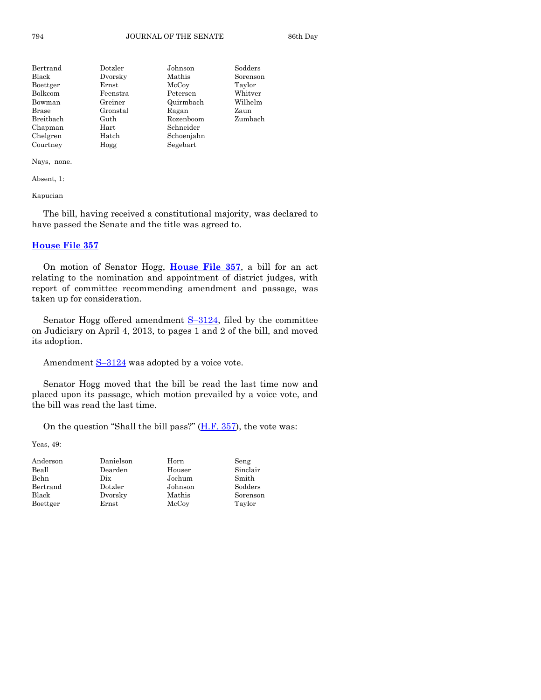| Bertrand  | Dotzler        | Johnson    | Sodders  |
|-----------|----------------|------------|----------|
| Black     | Dvorsky        | Mathis     | Sorenson |
| Boettger  | $_{\rm Ernst}$ | McCoy      | Taylor   |
| Bolkcom   | Feenstra       | Petersen   | Whitver  |
| Bowman    | Greiner        | Quirmbach  | Wilhelm  |
| Brase     | Gronstal       | Ragan      | Zaun     |
| Breitbach | Guth           | Rozenboom  | Zumbach  |
| Chapman   | Hart           | Schneider  |          |
| Chelgren  | Hatch          | Schoenjahn |          |
| Courtney  | Hogg           | Segebart   |          |

Nays, none.

Absent, 1:

Kapucian

The bill, having received a constitutional majority, was declared to have passed the Senate and the title was agreed to.

#### **[House File 357](http://coolice.legis.state.ia.us/Cool-ICE/default.asp?Category=billinfo&Service=Billbook&frame=1&GA=85&hbill=HF357)**

On motion of Senator Hogg, **[House File 357](http://coolice.legis.state.ia.us/Cool-ICE/default.asp?Category=billinfo&Service=Billbook&frame=1&GA=85&hbill=HF357)**, a bill for an act relating to the nomination and appointment of district judges, with report of committee recommending amendment and passage, was taken up for consideration.

Senator Hogg offered amendment S-[3124,](http://coolice.legis.state.ia.us/Cool-ICE/default.asp?Category=billinfo&Service=Billbook&frame=1&GA=85&hbill=S3124) filed by the committee on Judiciary on April 4, 2013, to pages 1 and 2 of the bill, and moved its adoption.

Amendment  $S-3124$  $S-3124$  was adopted by a voice vote.

Senator Hogg moved that the bill be read the last time now and placed upon its passage, which motion prevailed by a voice vote, and the bill was read the last time.

On the question "Shall the bill pass?"  $(H.F. 357)$ , the vote was:

| Anderson | Danielson | Horn    | Seng     |
|----------|-----------|---------|----------|
| Beall    | Dearden   | Houser  | Sinclair |
| Behn     | Dix       | Jochum  | Smith    |
| Bertrand | Dotzler   | Johnson | Sodders  |
| Black    | Dvorsky   | Mathis  | Sorenson |
| Boettger | Ernst     | McCoy   | Taylor   |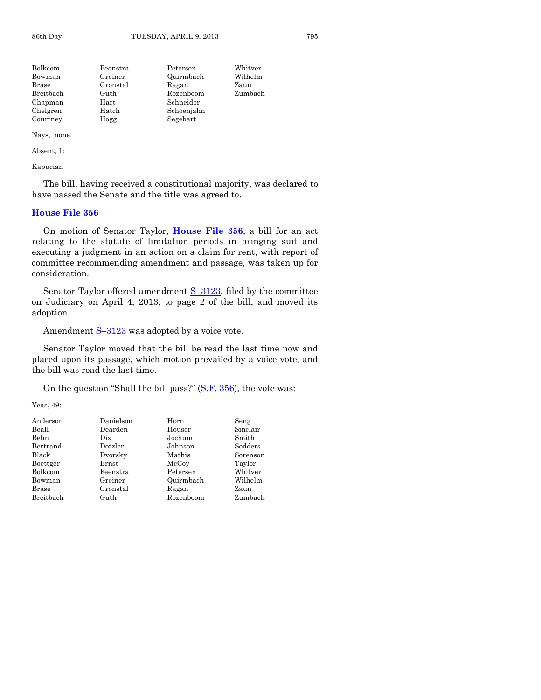| Feenstra   | Petersen   | Whitver |
|------------|------------|---------|
| Greiner    | Quirmbach  | Wilhelm |
| Gronstal   | Ragan      | Zaun    |
| Guth       | Rozenboom  | Zumbach |
| $\rm Hart$ | Schneider  |         |
| Hatch      | Schoenjahn |         |
| Hogg       | Segebart   |         |
|            |            |         |

Nays, none.

Absent, 1:

Kapucian

The bill, having received a constitutional majority, was declared to have passed the Senate and the title was agreed to.

#### **[House File 356](http://coolice.legis.state.ia.us/Cool-ICE/default.asp?Category=billinfo&Service=Billbook&frame=1&GA=85&hbill=HF356)**

On motion of Senator Taylor, **[House File 356](http://coolice.legis.state.ia.us/Cool-ICE/default.asp?Category=billinfo&Service=Billbook&frame=1&GA=85&hbill=HF356)**, a bill for an act relating to the statute of limitation periods in bringing suit and executing a judgment in an action on a claim for rent, with report of committee recommending amendment and passage, was taken up for consideration.

Senator Taylor offered amendment S-[3123,](http://coolice.legis.state.ia.us/Cool-ICE/default.asp?Category=billinfo&Service=Billbook&frame=1&GA=85&hbill=S3123) filed by the committee on Judiciary on April 4, 2013, to page 2 of the bill, and moved its adoption.

Amendment  $S-3123$  $S-3123$  was adopted by a voice vote.

Senator Taylor moved that the bill be read the last time now and placed upon its passage, which motion prevailed by a voice vote, and the bill was read the last time.

On the question "Shall the bill pass?" [\(S.F. 356\)](http://coolice.legis.state.ia.us/Cool-ICE/default.asp?Category=billinfo&Service=Billbook&frame=1&GA=85&hbill=SF356), the vote was:

| Anderson  | Danielson | Horn      | Seng     |
|-----------|-----------|-----------|----------|
| Beall     | Dearden   | Houser    | Sinclair |
| Behn      | Dix       | Jochum    | Smith    |
| Bertrand  | Dotzler   | Johnson   | Sodders  |
| Black     | Dvorsky   | Mathis    | Sorenson |
| Boettger  | Ernst     | McCoy     | Taylor   |
| Bolkcom   | Feenstra  | Petersen  | Whitver  |
| Bowman    | Greiner   | Quirmbach | Wilhelm  |
| Brase     | Gronstal  | Ragan     | Zaun     |
| Breitbach | Guth      | Rozenboom | Zumbach  |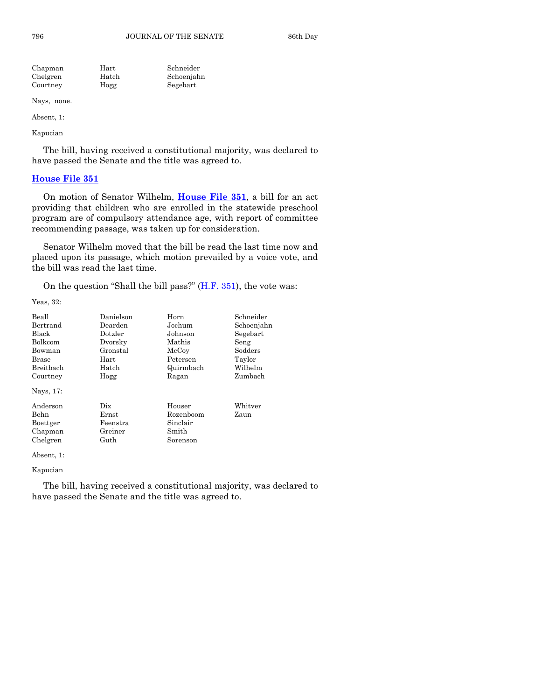Schneider Schoenjahn Segebart

| Chapman  | Hart  |  |
|----------|-------|--|
| Chelgren | Hatch |  |
| Courtney | Hogg  |  |
|          |       |  |

Nays, none.

Absent, 1:

Kapucian

The bill, having received a constitutional majority, was declared to have passed the Senate and the title was agreed to.

#### **[House File 351](http://coolice.legis.state.ia.us/Cool-ICE/default.asp?Category=billinfo&Service=Billbook&frame=1&GA=85&hbill=HF351)**

On motion of Senator Wilhelm, **[House File 351](http://coolice.legis.state.ia.us/Cool-ICE/default.asp?Category=billinfo&Service=Billbook&frame=1&GA=85&hbill=HF351)**, a bill for an act providing that children who are enrolled in the statewide preschool program are of compulsory attendance age, with report of committee recommending passage, was taken up for consideration.

Senator Wilhelm moved that the bill be read the last time now and placed upon its passage, which motion prevailed by a voice vote, and the bill was read the last time.

On the question "Shall the bill pass?" [\(H.F. 351\)](http://coolice.legis.state.ia.us/Cool-ICE/default.asp?Category=billinfo&Service=Billbook&frame=1&GA=85&hbill=HF351), the vote was:

Yeas, 32:

| Beall            | Danielson   | Horn      | Schneider  |
|------------------|-------------|-----------|------------|
| Bertrand         | Dearden     | Jochum    | Schoenjahn |
| Black            | Dotzler     | Johnson   | Segebart   |
| Bolkcom          | Dvorsky     | Mathis    | Seng       |
| Bowman           | Gronstal    | McCoy     | Sodders    |
| Brase            | Hart        | Petersen  | Taylor     |
| <b>Breithach</b> | Hatch       | Quirmbach | Wilhelm    |
| Courtney         | Hogg        | Ragan     | Zumbach    |
| Nays, 17:        |             |           |            |
| Anderson         | Dix         | Houser    | Whitver    |
| Behn             | $\rm Ernst$ | Rozenboom | Zaun       |
| Boettger         | Feenstra    | Sinclair  |            |
| Chapman          | Greiner     | Smith     |            |
| Chelgren         | Guth        | Sorenson  |            |
| Absent, 1:       |             |           |            |

#### Kapucian

The bill, having received a constitutional majority, was declared to have passed the Senate and the title was agreed to.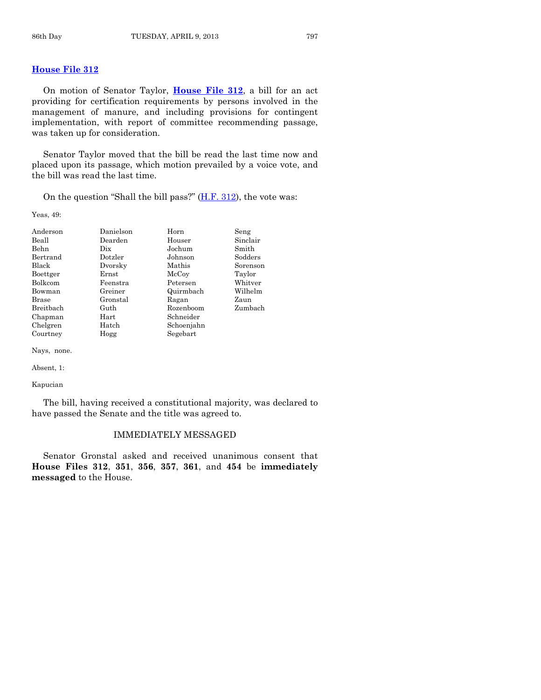**[House File 312](http://coolice.legis.state.ia.us/Cool-ICE/default.asp?Category=billinfo&Service=Billbook&frame=1&GA=85&hbill=HF312)**

On motion of Senator Taylor, **[House File 312](http://coolice.legis.state.ia.us/Cool-ICE/default.asp?Category=billinfo&Service=Billbook&frame=1&GA=85&hbill=HF312)**, a bill for an act providing for certification requirements by persons involved in the management of manure, and including provisions for contingent implementation, with report of committee recommending passage, was taken up for consideration.

Senator Taylor moved that the bill be read the last time now and placed upon its passage, which motion prevailed by a voice vote, and the bill was read the last time.

On the question "Shall the bill pass?" [\(H.F. 312\)](http://coolice.legis.state.ia.us/Cool-ICE/default.asp?Category=billinfo&Service=Billbook&frame=1&GA=85&hbill=HF312), the vote was:

Yeas, 49:

| Anderson  | Danielson | Horn       | Seng     |
|-----------|-----------|------------|----------|
| Beall     | Dearden   | Houser     | Sinclair |
| Behn      | Dix       | Jochum     | Smith    |
| Bertrand  | Dotzler   | Johnson    | Sodders  |
| Black     | Dvorsky   | Mathis     | Sorenson |
| Boettger  | Ernst     | McCoy      | Taylor   |
| Bolkcom   | Feenstra  | Petersen   | Whitver  |
| Bowman    | Greiner   | Quirmbach  | Wilhelm  |
| Brase     | Gronstal  | Ragan      | Zaun     |
| Breitbach | Guth      | Rozenboom  | Zumbach  |
| Chapman   | Hart      | Schneider  |          |
| Chelgren  | Hatch     | Schoenjahn |          |
| Courtney  | Hogg      | Segebart   |          |

Nays, none.

Absent, 1:

Kapucian

The bill, having received a constitutional majority, was declared to have passed the Senate and the title was agreed to.

#### IMMEDIATELY MESSAGED

Senator Gronstal asked and received unanimous consent that **House Files 312**, **351**, **356**, **357**, **361**, and **454** be **immediately messaged** to the House.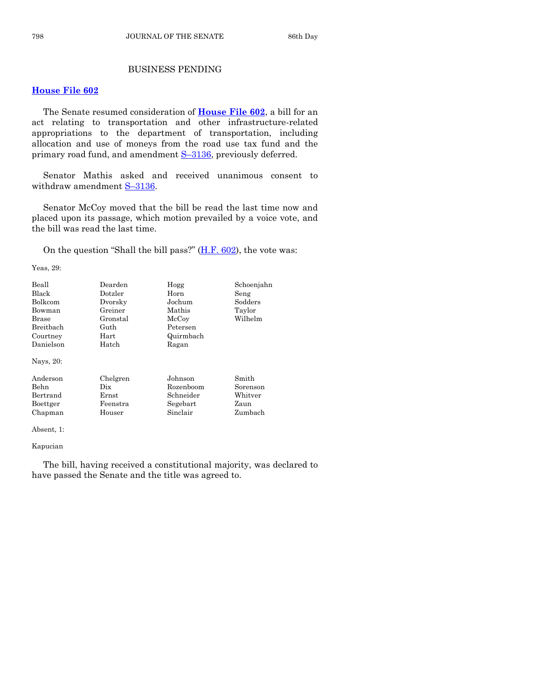# BUSINESS PENDING

### **[House File 602](http://coolice.legis.state.ia.us/Cool-ICE/default.asp?Category=billinfo&Service=Billbook&frame=1&GA=85&hbill=HF602)**

The Senate resumed consideration of **[House File 602](http://coolice.legis.state.ia.us/Cool-ICE/default.asp?Category=billinfo&Service=Billbook&frame=1&GA=85&hbill=HF602)**, a bill for an act relating to transportation and other infrastructure-related appropriations to the department of transportation, including allocation and use of moneys from the road use tax fund and the primary road fund, and amendment S-[3136,](http://coolice.legis.state.ia.us/Cool-ICE/default.asp?Category=billinfo&Service=Billbook&frame=1&GA=85&hbill=S3136) previously deferred.

Senator Mathis asked and received unanimous consent to withdraw amendment S-[3136.](http://coolice.legis.state.ia.us/Cool-ICE/default.asp?Category=billinfo&Service=Billbook&frame=1&GA=85&hbill=S3136)

Senator McCoy moved that the bill be read the last time now and placed upon its passage, which motion prevailed by a voice vote, and the bill was read the last time.

On the question "Shall the bill pass?" [\(H.F. 602\)](http://coolice.legis.state.ia.us/Cool-ICE/default.asp?Category=billinfo&Service=Billbook&frame=1&GA=85&hbill=HF602), the vote was:

Yeas, 29:

| Beall<br>Black<br><b>Bolkcom</b><br>Bowman<br>Brase<br>Breithach<br>Courtney<br>Danielson<br>Nays, 20: | Dearden<br>Dotzler<br>Dvorsky<br>Greiner<br>Gronstal<br>Guth<br>Hart<br>Hatch | Hogg<br>Horn<br>Jochum<br>Mathis<br>McCoy<br>Petersen<br>Quirmbach<br>Ragan | Schoenjahn<br>Seng<br>Sodders<br>Taylor<br>Wilhelm |
|--------------------------------------------------------------------------------------------------------|-------------------------------------------------------------------------------|-----------------------------------------------------------------------------|----------------------------------------------------|
| Anderson                                                                                               | Chelgren                                                                      | Johnson                                                                     | Smith                                              |
| Behn                                                                                                   | Dix                                                                           | Rozenboom                                                                   | Sorenson                                           |
| Bertrand                                                                                               | Ernst                                                                         | Schneider                                                                   | Whitver                                            |
| Boettger                                                                                               | Feenstra                                                                      | Segebart                                                                    | Zaun                                               |
| Chapman                                                                                                | Houser                                                                        | Sinclair                                                                    | Zumbach                                            |

Absent, 1:

Kapucian

The bill, having received a constitutional majority, was declared to have passed the Senate and the title was agreed to.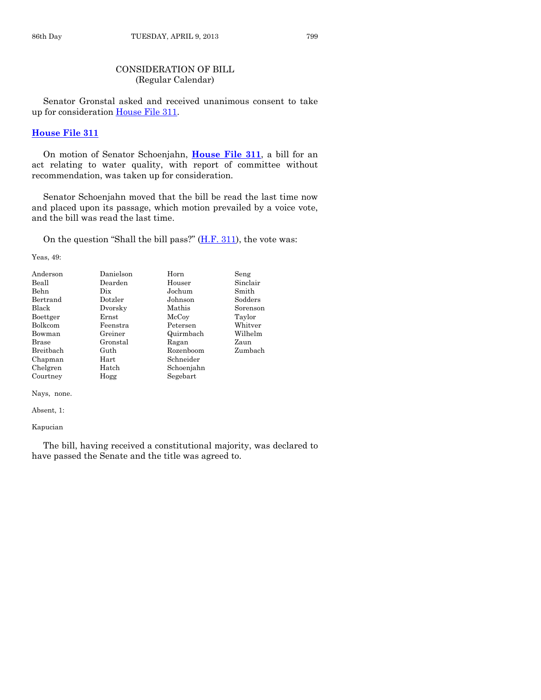# CONSIDERATION OF BILL (Regular Calendar)

Senator Gronstal asked and received unanimous consent to take up for consideration [House File 311.](http://coolice.legis.state.ia.us/Cool-ICE/default.asp?Category=billinfo&Service=Billbook&frame=1&GA=85&hbill=HF311)

#### **[House File 311](http://coolice.legis.state.ia.us/Cool-ICE/default.asp?Category=billinfo&Service=Billbook&frame=1&GA=85&hbill=HF311)**

On motion of Senator Schoenjahn, **[House File 311](http://coolice.legis.state.ia.us/Cool-ICE/default.asp?Category=billinfo&Service=Billbook&frame=1&GA=85&hbill=HF311)**, a bill for an act relating to water quality, with report of committee without recommendation, was taken up for consideration.

Senator Schoenjahn moved that the bill be read the last time now and placed upon its passage, which motion prevailed by a voice vote, and the bill was read the last time.

On the question "Shall the bill pass?"  $(H.F. 311)$ , the vote was:

Yeas, 49:

| Anderson     | Danielson | Horn       | Seng     |
|--------------|-----------|------------|----------|
| Beall        | Dearden   | Houser     | Sinclair |
| <b>Behn</b>  | Dix       | Jochum     | Smith    |
| Bertrand     | Dotzler   | Johnson    | Sodders  |
| Black        | Dvorsky   | Mathis     | Sorenson |
| Boettger     | Ernst     | McCoy      | Taylor   |
| Bolkcom      | Feenstra  | Petersen   | Whitver  |
| Bowman       | Greiner   | Quirmbach  | Wilhelm  |
| <b>Brase</b> | Gronstal  | Ragan      | Zaun     |
| Breitbach    | Guth      | Rozenboom  | Zumbach  |
| Chapman      | Hart      | Schneider  |          |
| Chelgren     | Hatch     | Schoenjahn |          |
| Courtney     | Hogg      | Segebart   |          |

Nays, none.

Absent, 1:

Kapucian

The bill, having received a constitutional majority, was declared to have passed the Senate and the title was agreed to.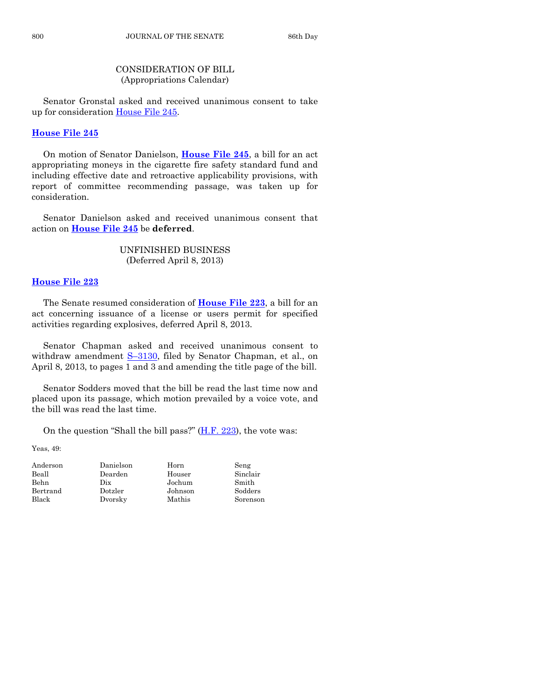# CONSIDERATION OF BILL (Appropriations Calendar)

Senator Gronstal asked and received unanimous consent to take up for consideration [House File 245.](http://coolice.legis.state.ia.us/Cool-ICE/default.asp?Category=billinfo&Service=Billbook&frame=1&GA=85&hbill=HF245)

# **[House File 245](http://coolice.legis.state.ia.us/Cool-ICE/default.asp?Category=billinfo&Service=Billbook&frame=1&GA=85&hbill=HF245)**

On motion of Senator Danielson, **[House File 245](http://coolice.legis.state.ia.us/Cool-ICE/default.asp?Category=billinfo&Service=Billbook&frame=1&GA=85&hbill=HF245)**, a bill for an act appropriating moneys in the cigarette fire safety standard fund and including effective date and retroactive applicability provisions, with report of committee recommending passage, was taken up for consideration.

Senator Danielson asked and received unanimous consent that action on **[House File 245](http://coolice.legis.state.ia.us/Cool-ICE/default.asp?Category=billinfo&Service=Billbook&frame=1&GA=85&hbill=HF245)** be **deferred**.

# UNFINISHED BUSINESS (Deferred April 8, 2013)

# **[House File 223](http://coolice.legis.state.ia.us/Cool-ICE/default.asp?Category=billinfo&Service=Billbook&frame=1&GA=85&hbill=HF223)**

The Senate resumed consideration of **[House File 223](http://coolice.legis.state.ia.us/Cool-ICE/default.asp?Category=billinfo&Service=Billbook&frame=1&GA=85&hbill=HF223)**, a bill for an act concerning issuance of a license or users permit for specified activities regarding explosives, deferred April 8, 2013.

Senator Chapman asked and received unanimous consent to withdraw amendment S–[3130,](http://coolice.legis.state.ia.us/Cool-ICE/default.asp?Category=billinfo&Service=Billbook&frame=1&GA=85&hbill=S3130) filed by Senator Chapman, et al., on April 8, 2013, to pages 1 and 3 and amending the title page of the bill.

Senator Sodders moved that the bill be read the last time now and placed upon its passage, which motion prevailed by a voice vote, and the bill was read the last time.

On the question "Shall the bill pass?" [\(H.F. 223\)](http://coolice.legis.state.ia.us/Cool-ICE/default.asp?Category=billinfo&Service=Billbook&frame=1&GA=85&hbill=HF223), the vote was:

| Anderson | Danielson | Horn    | Seng     |
|----------|-----------|---------|----------|
| Beall    | Dearden   | Houser  | Sinclair |
| Behn     | Dix       | Jochum  | Smith    |
| Bertrand | Dotzler   | Johnson | Sodders  |
| Black    | Dvorsky   | Mathis  | Sorenson |
|          |           |         |          |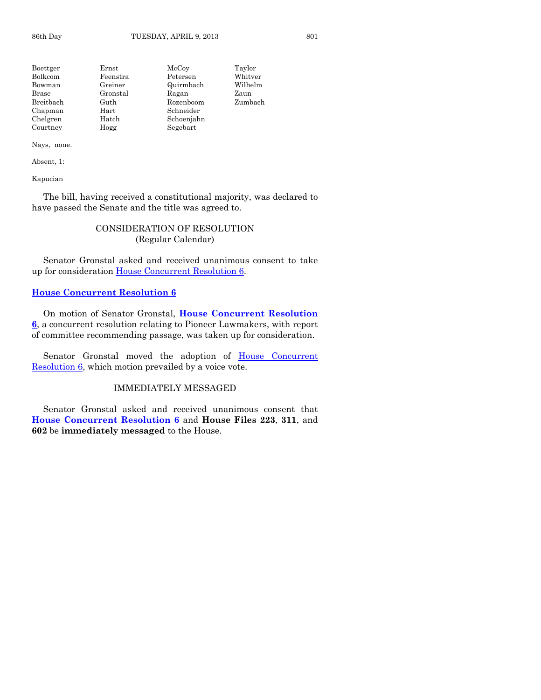| Boettger  | $\rm Ernst$ | McCoy      | Taylor  |
|-----------|-------------|------------|---------|
| Bolkcom   | Feenstra    | Petersen   | Whitver |
| Bowman    | Greiner     | Quirmbach  | Wilhelm |
| Brase     | Gronstal    | Ragan      | Zaun    |
| Breitbach | Guth        | Rozenboom  | Zumbach |
| Chapman   | $\rm Hart$  | Schneider  |         |
| Chelgren  | Hatch       | Schoenjahn |         |
| Courtney  | Hogg        | Segebart   |         |
|           |             |            |         |

#### Nays, none.

Absent, 1:

Kapucian

The bill, having received a constitutional majority, was declared to have passed the Senate and the title was agreed to.

# CONSIDERATION OF RESOLUTION (Regular Calendar)

Senator Gronstal asked and received unanimous consent to take up for consideration [House Concurrent Resolution 6.](http://coolice.legis.state.ia.us/Cool-ICE/default.asp?Category=billinfo&Service=Billbook&frame=1&GA=85&hbill=HCR6)

# **[House Concurrent Resolution 6](http://coolice.legis.state.ia.us/Cool-ICE/default.asp?Category=billinfo&Service=Billbook&frame=1&GA=85&hbill=HCR6)**

On motion of Senator Gronstal, **House [Concurrent Resolution](http://coolice.legis.state.ia.us/Cool-ICE/default.asp?Category=billinfo&Service=Billbook&frame=1&GA=85&hbill=HCR6)  [6](http://coolice.legis.state.ia.us/Cool-ICE/default.asp?Category=billinfo&Service=Billbook&frame=1&GA=85&hbill=HCR6)**, a concurrent resolution relating to Pioneer Lawmakers, with report of committee recommending passage, was taken up for consideration.

Senator Gronstal moved the adoption of [House Concurrent](http://coolice.legis.state.ia.us/Cool-ICE/default.asp?Category=billinfo&Service=Billbook&frame=1&GA=85&hbill=HCR6)  [Resolution 6,](http://coolice.legis.state.ia.us/Cool-ICE/default.asp?Category=billinfo&Service=Billbook&frame=1&GA=85&hbill=HCR6) which motion prevailed by a voice vote.

#### IMMEDIATELY MESSAGED

Senator Gronstal asked and received unanimous consent that **[House Concurrent Resolution 6](http://coolice.legis.state.ia.us/Cool-ICE/default.asp?Category=billinfo&Service=Billbook&frame=1&GA=85&hbill=HCR6)** and **House Files 223**, **311**, and **602** be **immediately messaged** to the House.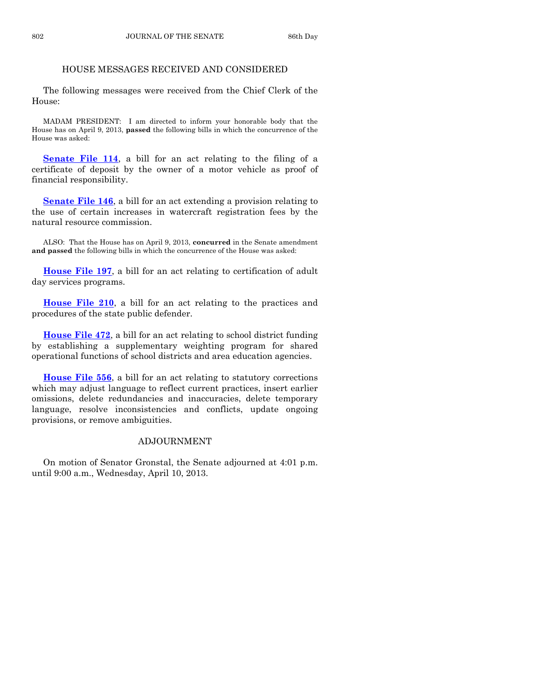# HOUSE MESSAGES RECEIVED AND CONSIDERED

The following messages were received from the Chief Clerk of the House:

MADAM PRESIDENT: I am directed to inform your honorable body that the House has on April 9, 2013, **passed** the following bills in which the concurrence of the House was asked:

**[Senate File 114](http://coolice.legis.state.ia.us/Cool-ICE/default.asp?Category=billinfo&Service=Billbook&frame=1&GA=85&hbill=SF114)**, a bill for an act relating to the filing of a certificate of deposit by the owner of a motor vehicle as proof of financial responsibility.

**[Senate File 146](http://coolice.legis.state.ia.us/Cool-ICE/default.asp?Category=billinfo&Service=Billbook&frame=1&GA=85&hbill=SF146)**, a bill for an act extending a provision relating to the use of certain increases in watercraft registration fees by the natural resource commission.

ALSO: That the House has on April 9, 2013, **concurred** in the Senate amendment **and passed** the following bills in which the concurrence of the House was asked:

**[House File 197](http://coolice.legis.state.ia.us/Cool-ICE/default.asp?Category=billinfo&Service=Billbook&frame=1&GA=85&hbill=HF197)**, a bill for an act relating to certification of adult day services programs.

**[House File 210](http://coolice.legis.state.ia.us/Cool-ICE/default.asp?Category=billinfo&Service=Billbook&frame=1&GA=85&hbill=HF210)**, a bill for an act relating to the practices and procedures of the state public defender.

**[House File 472](http://coolice.legis.state.ia.us/Cool-ICE/default.asp?Category=billinfo&Service=Billbook&frame=1&GA=85&hbill=HF472)**, a bill for an act relating to school district funding by establishing a supplementary weighting program for shared operational functions of school districts and area education agencies.

**[House File 556](http://coolice.legis.state.ia.us/Cool-ICE/default.asp?Category=billinfo&Service=Billbook&frame=1&GA=85&hbill=HF556)**, a bill for an act relating to statutory corrections which may adjust language to reflect current practices, insert earlier omissions, delete redundancies and inaccuracies, delete temporary language, resolve inconsistencies and conflicts, update ongoing provisions, or remove ambiguities.

#### ADJOURNMENT

On motion of Senator Gronstal, the Senate adjourned at 4:01 p.m. until 9:00 a.m., Wednesday, April 10, 2013.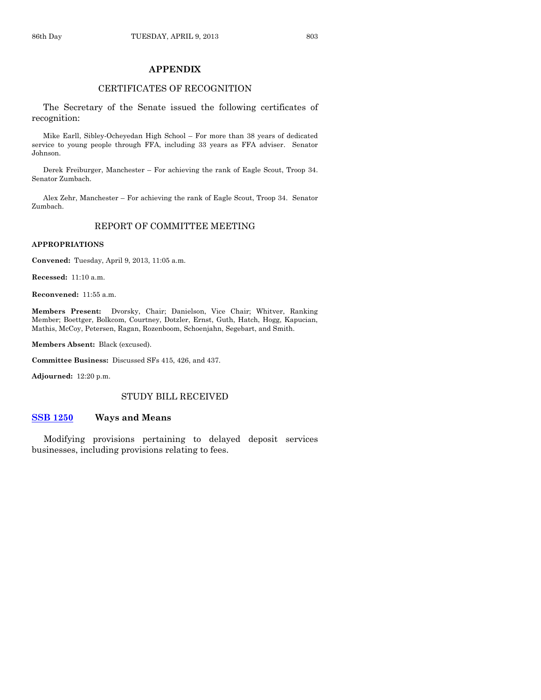#### **APPENDIX**

#### CERTIFICATES OF RECOGNITION

The Secretary of the Senate issued the following certificates of recognition:

Mike Earll, Sibley-Ocheyedan High School – For more than 38 years of dedicated service to young people through FFA, including 33 years as FFA adviser. Senator Johnson.

Derek Freiburger, Manchester – For achieving the rank of Eagle Scout, Troop 34. Senator Zumbach.

Alex Zehr, Manchester – For achieving the rank of Eagle Scout, Troop 34. Senator Zumbach.

#### REPORT OF COMMITTEE MEETING

#### **APPROPRIATIONS**

**Convened:** Tuesday, April 9, 2013, 11:05 a.m.

**Recessed:** 11:10 a.m.

**Reconvened:** 11:55 a.m.

**Members Present:** Dvorsky, Chair; Danielson, Vice Chair; Whitver, Ranking Member; Boettger, Bolkcom, Courtney, Dotzler, Ernst, Guth, Hatch, Hogg, Kapucian, Mathis, McCoy, Petersen, Ragan, Rozenboom, Schoenjahn, Segebart, and Smith.

**Members Absent:** Black (excused).

**Committee Business:** Discussed SFs 415, 426, and 437.

**Adjourned:** 12:20 p.m.

#### STUDY BILL RECEIVED

#### **[SSB 1250](http://coolice.legis.state.ia.us/Cool-ICE/default.asp?Category=billinfo&Service=Billbook&frame=1&GA=85&hbill=SSB1250) Ways and Means**

Modifying provisions pertaining to delayed deposit services businesses, including provisions relating to fees.